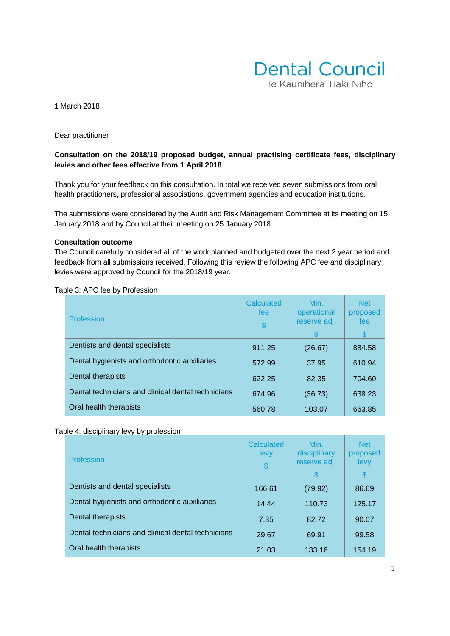

#### 1 March 2018

Dear practitioner

# **Consultation on the 2018/19 proposed budget, annual practising certificate fees, disciplinary levies and other fees effective from 1 April 2018**

Thank you for your feedback on this consultation. In total we received seven submissions from oral health practitioners, professional associations, government agencies and education institutions.

The submissions were considered by the Audit and Risk Management Committee at its meeting on 15 January 2018 and by Council at their meeting on 25 January 2018.

#### **Consultation outcome**

The Council carefully considered all of the work planned and budgeted over the next 2 year period and feedback from all submissions received. Following this review the following APC fee and disciplinary levies were approved by Council for the 2018/19 year.

| Profession                                         | Calculated<br>fee<br>\$ | Min.<br>operational<br>reserve adj.<br>\$ | <b>Net</b><br>proposed<br>fee<br>S |
|----------------------------------------------------|-------------------------|-------------------------------------------|------------------------------------|
| Dentists and dental specialists                    | 911.25                  | (26.67)                                   | 884.58                             |
| Dental hygienists and orthodontic auxiliaries      | 572.99                  | 37.95                                     | 610.94                             |
| Dental therapists                                  | 622.25                  | 82.35                                     | 704.60                             |
| Dental technicians and clinical dental technicians | 674.96                  | (36.73)                                   | 638.23                             |
| Oral health therapists                             | 560.78                  | 103.07                                    | 663.85                             |

#### Table 3: APC fee by Profession

#### Table 4: disciplinary levy by profession

| Profession                                         | Calculated<br>levy<br>\$ | Min.<br>disciplinary<br>reserve adj.<br>S. | <b>Net</b><br>proposed<br>levy<br>\$ |
|----------------------------------------------------|--------------------------|--------------------------------------------|--------------------------------------|
| Dentists and dental specialists                    | 166.61                   | (79.92)                                    | 86.69                                |
| Dental hygienists and orthodontic auxiliaries      | 14.44                    | 110.73                                     | 125.17                               |
| Dental therapists                                  | 7.35                     | 82.72                                      | 90.07                                |
| Dental technicians and clinical dental technicians | 29.67                    | 69.91                                      | 99.58                                |
| Oral health therapists                             | 21.03                    | 133.16                                     | 154.19                               |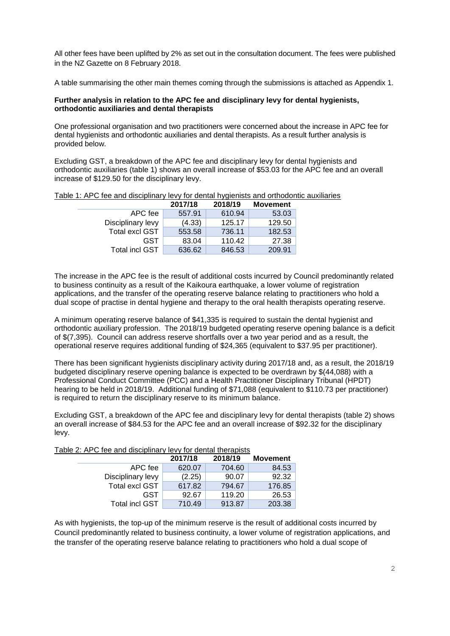All other fees have been uplifted by 2% as set out in the consultation document. The fees were published in the NZ Gazette on 8 February 2018.

A table summarising the other main themes coming through the submissions is attached as Appendix 1.

### **Further analysis in relation to the APC fee and disciplinary levy for dental hygienists, orthodontic auxiliaries and dental therapists**

One professional organisation and two practitioners were concerned about the increase in APC fee for dental hygienists and orthodontic auxiliaries and dental therapists. As a result further analysis is provided below.

Excluding GST, a breakdown of the APC fee and disciplinary levy for dental hygienists and orthodontic auxiliaries (table 1) shows an overall increase of \$53.03 for the APC fee and an overall increase of \$129.50 for the disciplinary levy.

|                       | 2017/18 | 2018/19 | <b>Movement</b> |
|-----------------------|---------|---------|-----------------|
| APC fee               | 557.91  | 610.94  | 53.03           |
| Disciplinary levy     | (4.33)  | 125.17  | 129.50          |
| <b>Total excl GST</b> | 553.58  | 736.11  | 182.53          |
| GST                   | 83.04   | 110.42  | 27.38           |
| <b>Total incl GST</b> | 636.62  | 846.53  | 209.91          |

Table 1: APC fee and disciplinary levy for dental hygienists and orthodontic auxiliaries

The increase in the APC fee is the result of additional costs incurred by Council predominantly related to business continuity as a result of the Kaikoura earthquake, a lower volume of registration applications, and the transfer of the operating reserve balance relating to practitioners who hold a dual scope of practise in dental hygiene and therapy to the oral health therapists operating reserve.

A minimum operating reserve balance of \$41,335 is required to sustain the dental hygienist and orthodontic auxiliary profession. The 2018/19 budgeted operating reserve opening balance is a deficit of \$(7,395). Council can address reserve shortfalls over a two year period and as a result, the operational reserve requires additional funding of \$24,365 (equivalent to \$37.95 per practitioner).

There has been significant hygienists disciplinary activity during 2017/18 and, as a result, the 2018/19 budgeted disciplinary reserve opening balance is expected to be overdrawn by \$(44,088) with a Professional Conduct Committee (PCC) and a Health Practitioner Disciplinary Tribunal (HPDT) hearing to be held in 2018/19. Additional funding of \$71,088 (equivalent to \$110.73 per practitioner) is required to return the disciplinary reserve to its minimum balance.

Excluding GST, a breakdown of the APC fee and disciplinary levy for dental therapists (table 2) shows an overall increase of \$84.53 for the APC fee and an overall increase of \$92.32 for the disciplinary levy.

## Table 2: APC fee and disciplinary levy for dental therapists

|                       | 2017/18 | 2018/19 | <b>Movement</b> |
|-----------------------|---------|---------|-----------------|
| APC fee               | 620.07  | 704.60  | 84.53           |
| Disciplinary levy     | (2.25)  | 90.07   | 92.32           |
| <b>Total excl GST</b> | 617.82  | 794.67  | 176.85          |
| GST                   | 92.67   | 119.20  | 26.53           |
| <b>Total incl GST</b> | 710.49  | 913.87  | 203.38          |

As with hygienists, the top-up of the minimum reserve is the result of additional costs incurred by Council predominantly related to business continuity, a lower volume of registration applications, and the transfer of the operating reserve balance relating to practitioners who hold a dual scope of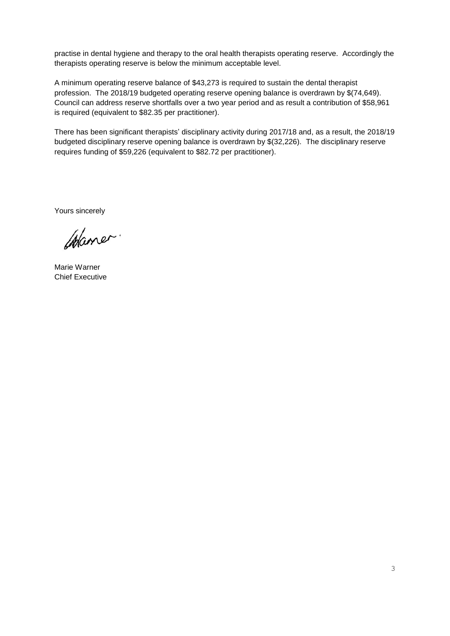practise in dental hygiene and therapy to the oral health therapists operating reserve. Accordingly the therapists operating reserve is below the minimum acceptable level.

A minimum operating reserve balance of \$43,273 is required to sustain the dental therapist profession. The 2018/19 budgeted operating reserve opening balance is overdrawn by \$(74,649). Council can address reserve shortfalls over a two year period and as result a contribution of \$58,961 is required (equivalent to \$82.35 per practitioner).

There has been significant therapists' disciplinary activity during 2017/18 and, as a result, the 2018/19 budgeted disciplinary reserve opening balance is overdrawn by \$(32,226). The disciplinary reserve requires funding of \$59,226 (equivalent to \$82.72 per practitioner).

Yours sincerely

Waner.

Marie Warner Chief Executive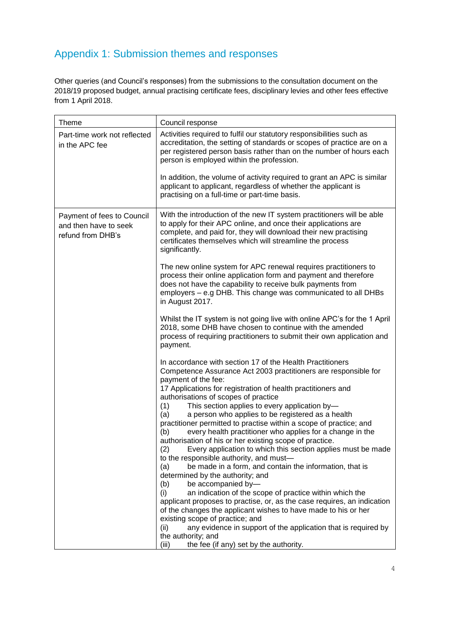# Appendix 1: Submission themes and responses

Other queries (and Council's responses) from the submissions to the consultation document on the 2018/19 proposed budget, annual practising certificate fees, disciplinary levies and other fees effective from 1 April 2018.

| <b>Theme</b>                                                             | Council response                                                                                                                                                                                                                                                                          |
|--------------------------------------------------------------------------|-------------------------------------------------------------------------------------------------------------------------------------------------------------------------------------------------------------------------------------------------------------------------------------------|
| Part-time work not reflected<br>in the APC fee                           | Activities required to fulfil our statutory responsibilities such as<br>accreditation, the setting of standards or scopes of practice are on a<br>per registered person basis rather than on the number of hours each<br>person is employed within the profession.                        |
|                                                                          | In addition, the volume of activity required to grant an APC is similar<br>applicant to applicant, regardless of whether the applicant is<br>practising on a full-time or part-time basis.                                                                                                |
| Payment of fees to Council<br>and then have to seek<br>refund from DHB's | With the introduction of the new IT system practitioners will be able<br>to apply for their APC online, and once their applications are<br>complete, and paid for, they will download their new practising<br>certificates themselves which will streamline the process<br>significantly. |
|                                                                          | The new online system for APC renewal requires practitioners to<br>process their online application form and payment and therefore<br>does not have the capability to receive bulk payments from<br>employers – e.g DHB. This change was communicated to all DHBs<br>in August 2017.      |
|                                                                          | Whilst the IT system is not going live with online APC's for the 1 April<br>2018, some DHB have chosen to continue with the amended<br>process of requiring practitioners to submit their own application and<br>payment.                                                                 |
|                                                                          | In accordance with section 17 of the Health Practitioners<br>Competence Assurance Act 2003 practitioners are responsible for<br>payment of the fee:<br>17 Applications for registration of health practitioners and                                                                       |
|                                                                          | authorisations of scopes of practice<br>This section applies to every application by-<br>(1)                                                                                                                                                                                              |
|                                                                          | a person who applies to be registered as a health<br>(a)<br>practitioner permitted to practise within a scope of practice; and                                                                                                                                                            |
|                                                                          | every health practitioner who applies for a change in the<br>(b)                                                                                                                                                                                                                          |
|                                                                          | authorisation of his or her existing scope of practice.<br>(2)<br>Every application to which this section applies must be made                                                                                                                                                            |
|                                                                          | to the responsible authority, and must-                                                                                                                                                                                                                                                   |
|                                                                          | (a)<br>be made in a form, and contain the information, that is<br>determined by the authority; and                                                                                                                                                                                        |
|                                                                          | be accompanied by-<br>(b)                                                                                                                                                                                                                                                                 |
|                                                                          | an indication of the scope of practice within which the<br>(i)<br>applicant proposes to practise, or, as the case requires, an indication<br>of the changes the applicant wishes to have made to his or her                                                                               |
|                                                                          | existing scope of practice; and                                                                                                                                                                                                                                                           |
|                                                                          | (ii)<br>any evidence in support of the application that is required by<br>the authority; and                                                                                                                                                                                              |
|                                                                          | the fee (if any) set by the authority.<br>(iii)                                                                                                                                                                                                                                           |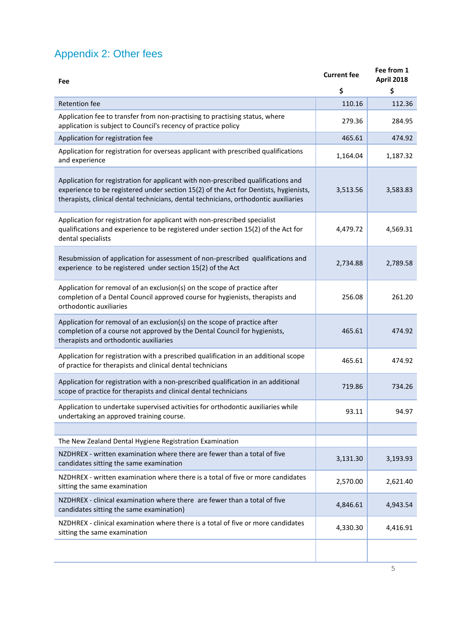# Appendix 2: Other fees

| Fee                                                                                                                                                                                                                                                               | <b>Current fee</b> | Fee from 1<br><b>April 2018</b> |
|-------------------------------------------------------------------------------------------------------------------------------------------------------------------------------------------------------------------------------------------------------------------|--------------------|---------------------------------|
|                                                                                                                                                                                                                                                                   | \$                 | \$                              |
| <b>Retention fee</b>                                                                                                                                                                                                                                              | 110.16             | 112.36                          |
| Application fee to transfer from non-practising to practising status, where<br>application is subject to Council's recency of practice policy                                                                                                                     | 279.36             | 284.95                          |
| Application for registration fee                                                                                                                                                                                                                                  | 465.61             | 474.92                          |
| Application for registration for overseas applicant with prescribed qualifications<br>and experience                                                                                                                                                              | 1,164.04           | 1,187.32                        |
| Application for registration for applicant with non-prescribed qualifications and<br>experience to be registered under section 15(2) of the Act for Dentists, hygienists,<br>therapists, clinical dental technicians, dental technicians, orthodontic auxiliaries | 3,513.56           | 3,583.83                        |
| Application for registration for applicant with non-prescribed specialist<br>qualifications and experience to be registered under section 15(2) of the Act for<br>dental specialists                                                                              | 4,479.72           | 4,569.31                        |
| Resubmission of application for assessment of non-prescribed qualifications and<br>experience to be registered under section 15(2) of the Act                                                                                                                     | 2,734.88           | 2,789.58                        |
| Application for removal of an exclusion(s) on the scope of practice after<br>completion of a Dental Council approved course for hygienists, therapists and<br>orthodontic auxiliaries                                                                             | 256.08             | 261.20                          |
| Application for removal of an exclusion(s) on the scope of practice after<br>completion of a course not approved by the Dental Council for hygienists,<br>therapists and orthodontic auxiliaries                                                                  | 465.61             | 474.92                          |
| Application for registration with a prescribed qualification in an additional scope<br>of practice for therapists and clinical dental technicians                                                                                                                 | 465.61             | 474.92                          |
| Application for registration with a non-prescribed qualification in an additional<br>scope of practice for therapists and clinical dental technicians                                                                                                             | 719.86             | 734.26                          |
| Application to undertake supervised activities for orthodontic auxiliaries while<br>undertaking an approved training course.                                                                                                                                      | 93.11              | 94.97                           |
|                                                                                                                                                                                                                                                                   |                    |                                 |
| The New Zealand Dental Hygiene Registration Examination                                                                                                                                                                                                           |                    |                                 |
| NZDHREX - written examination where there are fewer than a total of five<br>candidates sitting the same examination                                                                                                                                               | 3,131.30           | 3,193.93                        |
| NZDHREX - written examination where there is a total of five or more candidates<br>sitting the same examination                                                                                                                                                   | 2,570.00           | 2,621.40                        |
| NZDHREX - clinical examination where there are fewer than a total of five<br>candidates sitting the same examination)                                                                                                                                             | 4,846.61           | 4,943.54                        |
| NZDHREX - clinical examination where there is a total of five or more candidates<br>sitting the same examination                                                                                                                                                  | 4,330.30           | 4,416.91                        |
|                                                                                                                                                                                                                                                                   |                    |                                 |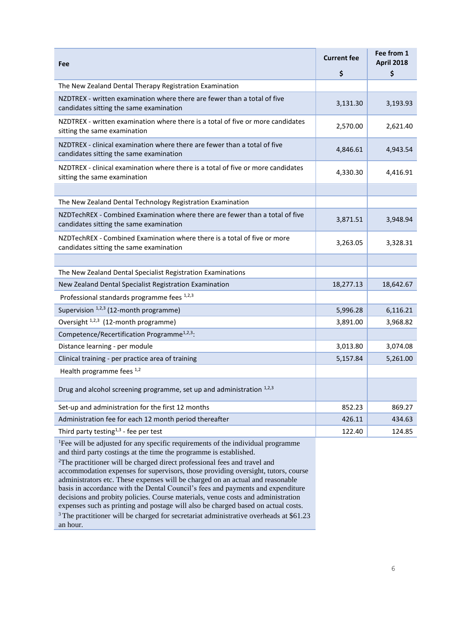| Fee                                                                                                                                                                                                                                                                                                                                                                                                                                                                                                                                                                                                      | <b>Current fee</b> | Fee from 1<br><b>April 2018</b> |
|----------------------------------------------------------------------------------------------------------------------------------------------------------------------------------------------------------------------------------------------------------------------------------------------------------------------------------------------------------------------------------------------------------------------------------------------------------------------------------------------------------------------------------------------------------------------------------------------------------|--------------------|---------------------------------|
|                                                                                                                                                                                                                                                                                                                                                                                                                                                                                                                                                                                                          | \$                 | \$                              |
| The New Zealand Dental Therapy Registration Examination                                                                                                                                                                                                                                                                                                                                                                                                                                                                                                                                                  |                    |                                 |
| NZDTREX - written examination where there are fewer than a total of five<br>candidates sitting the same examination                                                                                                                                                                                                                                                                                                                                                                                                                                                                                      | 3,131.30           | 3,193.93                        |
| NZDTREX - written examination where there is a total of five or more candidates<br>sitting the same examination                                                                                                                                                                                                                                                                                                                                                                                                                                                                                          | 2,570.00           | 2,621.40                        |
| NZDTREX - clinical examination where there are fewer than a total of five<br>candidates sitting the same examination                                                                                                                                                                                                                                                                                                                                                                                                                                                                                     | 4,846.61           | 4,943.54                        |
| NZDTREX - clinical examination where there is a total of five or more candidates<br>sitting the same examination                                                                                                                                                                                                                                                                                                                                                                                                                                                                                         | 4,330.30           | 4,416.91                        |
|                                                                                                                                                                                                                                                                                                                                                                                                                                                                                                                                                                                                          |                    |                                 |
| The New Zealand Dental Technology Registration Examination                                                                                                                                                                                                                                                                                                                                                                                                                                                                                                                                               |                    |                                 |
| NZDTechREX - Combined Examination where there are fewer than a total of five<br>candidates sitting the same examination                                                                                                                                                                                                                                                                                                                                                                                                                                                                                  | 3,871.51           | 3,948.94                        |
| NZDTechREX - Combined Examination where there is a total of five or more<br>candidates sitting the same examination                                                                                                                                                                                                                                                                                                                                                                                                                                                                                      | 3,263.05           | 3,328.31                        |
|                                                                                                                                                                                                                                                                                                                                                                                                                                                                                                                                                                                                          |                    |                                 |
| The New Zealand Dental Specialist Registration Examinations                                                                                                                                                                                                                                                                                                                                                                                                                                                                                                                                              |                    |                                 |
| New Zealand Dental Specialist Registration Examination                                                                                                                                                                                                                                                                                                                                                                                                                                                                                                                                                   | 18,277.13          | 18,642.67                       |
| Professional standards programme fees 1,2,3                                                                                                                                                                                                                                                                                                                                                                                                                                                                                                                                                              |                    |                                 |
| Supervision $1,2,3$ (12-month programme)                                                                                                                                                                                                                                                                                                                                                                                                                                                                                                                                                                 | 5,996.28           | 6,116.21                        |
| Oversight $1,2,3$ (12-month programme)                                                                                                                                                                                                                                                                                                                                                                                                                                                                                                                                                                   | 3,891.00           | 3,968.82                        |
| Competence/Recertification Programme <sup>1,2,3</sup> :                                                                                                                                                                                                                                                                                                                                                                                                                                                                                                                                                  |                    |                                 |
| Distance learning - per module                                                                                                                                                                                                                                                                                                                                                                                                                                                                                                                                                                           | 3,013.80           | 3,074.08                        |
| Clinical training - per practice area of training                                                                                                                                                                                                                                                                                                                                                                                                                                                                                                                                                        | 5,157.84           | 5,261.00                        |
| Health programme fees $1,2$                                                                                                                                                                                                                                                                                                                                                                                                                                                                                                                                                                              |                    |                                 |
| Drug and alcohol screening programme, set up and administration 1,2,3                                                                                                                                                                                                                                                                                                                                                                                                                                                                                                                                    |                    |                                 |
| Set-up and administration for the first 12 months                                                                                                                                                                                                                                                                                                                                                                                                                                                                                                                                                        | 852.23             | 869.27                          |
| Administration fee for each 12 month period thereafter                                                                                                                                                                                                                                                                                                                                                                                                                                                                                                                                                   | 426.11             | 434.63                          |
| Third party testing <sup>1,3</sup> - fee per test                                                                                                                                                                                                                                                                                                                                                                                                                                                                                                                                                        | 122.40             | 124.85                          |
| <sup>1</sup> Fee will be adjusted for any specific requirements of the individual programme<br>and third party costings at the time the programme is established.<br><sup>2</sup> The practitioner will be charged direct professional fees and travel and<br>accommodation expenses for supervisors, those providing oversight, tutors, course<br>administrators etc. These expenses will be charged on an actual and reasonable<br>basis in accordance with the Dental Council's fees and payments and expenditure<br>decisions and probity policies. Course materials, venue costs and administration |                    |                                 |

expenses such as printing and postage will also be charged based on actual costs.

 $^3$  The practitioner will be charged for secretariat administrative overheads at  $\$61.23$ an hour.